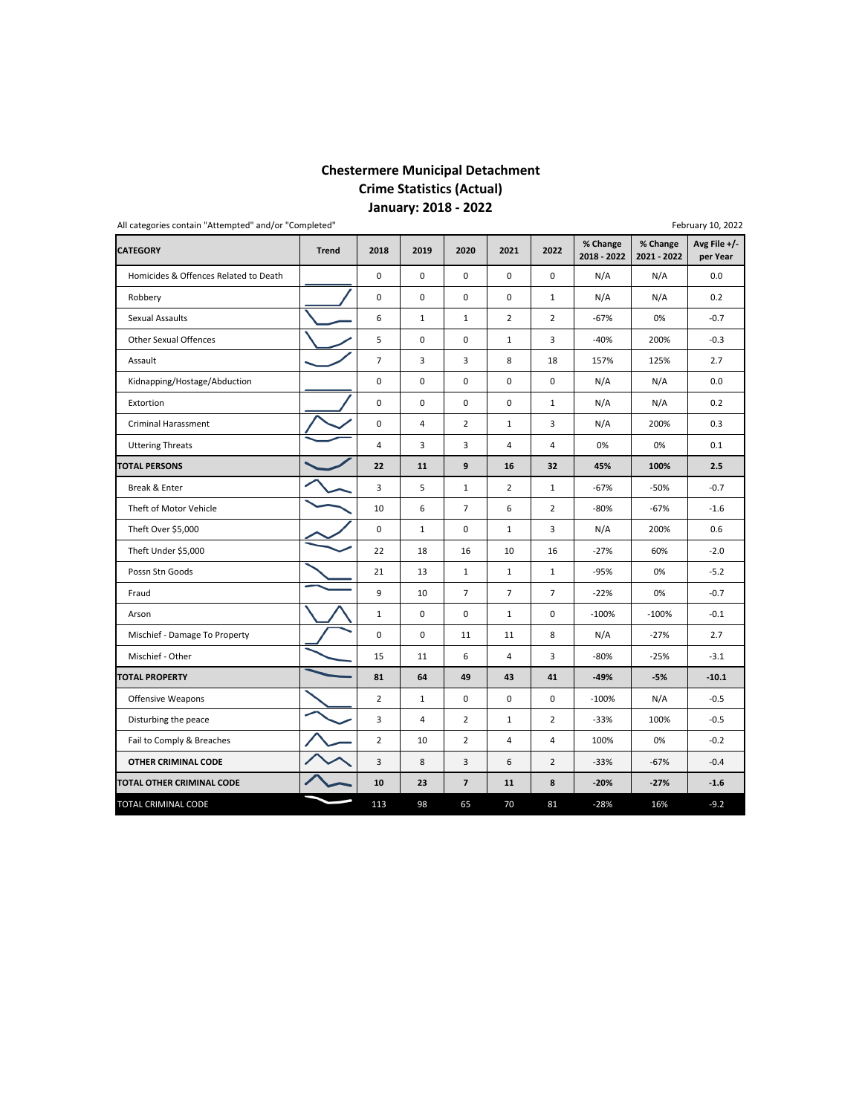# **Chestermere Municipal Detachment Crime Statistics (Actual) January: 2018 ‐ 2022**

|                                       | All categories contain "Attempted" and/or "Completed"<br>February 10, 2022 |                |                |                |                |                |                         |                         |                          |  |  |  |  |  |
|---------------------------------------|----------------------------------------------------------------------------|----------------|----------------|----------------|----------------|----------------|-------------------------|-------------------------|--------------------------|--|--|--|--|--|
| <b>CATEGORY</b>                       | <b>Trend</b>                                                               | 2018           | 2019           | 2020           | 2021           | 2022           | % Change<br>2018 - 2022 | % Change<br>2021 - 2022 | Avg File +/-<br>per Year |  |  |  |  |  |
| Homicides & Offences Related to Death |                                                                            | 0              | 0              | $\mathbf 0$    | $\mathbf 0$    | $\mathbf 0$    | N/A                     | N/A                     | 0.0                      |  |  |  |  |  |
| Robbery                               |                                                                            | $\mathbf 0$    | 0              | $\mathbf 0$    | $\mathbf 0$    | $\mathbf{1}$   | N/A                     | N/A                     | 0.2                      |  |  |  |  |  |
| Sexual Assaults                       |                                                                            | 6              | $\mathbf{1}$   | $\mathbf 1$    | $\overline{2}$ | $\overline{2}$ | $-67%$                  | 0%                      | $-0.7$                   |  |  |  |  |  |
| Other Sexual Offences                 |                                                                            | 5              | 0              | $\mathbf 0$    | $\mathbf{1}$   | 3              | $-40%$                  | 200%                    | $-0.3$                   |  |  |  |  |  |
| Assault                               |                                                                            | $\overline{7}$ | 3              | 3              | 8              | 18             | 157%                    | 125%                    | 2.7                      |  |  |  |  |  |
| Kidnapping/Hostage/Abduction          |                                                                            | $\mathbf 0$    | 0              | $\mathbf 0$    | $\mathbf 0$    | $\mathbf 0$    | N/A                     | N/A                     | 0.0                      |  |  |  |  |  |
| Extortion                             |                                                                            | 0              | 0              | $\mathbf 0$    | $\mathbf 0$    | $\mathbf{1}$   | N/A                     | N/A                     | 0.2                      |  |  |  |  |  |
| <b>Criminal Harassment</b>            |                                                                            | $\mathbf 0$    | $\overline{4}$ | $\overline{2}$ | $\mathbf{1}$   | 3              | N/A                     | 200%                    | 0.3                      |  |  |  |  |  |
| <b>Uttering Threats</b>               |                                                                            | $\sqrt{4}$     | 3              | 3              | 4              | 4              | 0%                      | 0%                      | 0.1                      |  |  |  |  |  |
| <b>TOTAL PERSONS</b>                  |                                                                            | 22             | 11             | 9              | 16             | 32             | 45%                     | 100%                    | 2.5                      |  |  |  |  |  |
| Break & Enter                         |                                                                            | 3              | 5              | $\mathbf{1}$   | $\overline{2}$ | $\mathbf{1}$   | $-67%$                  | $-50%$                  | $-0.7$                   |  |  |  |  |  |
| Theft of Motor Vehicle                |                                                                            | 10             | 6              | $\overline{7}$ | 6              | $\overline{2}$ | $-80%$                  | $-67%$                  | $-1.6$                   |  |  |  |  |  |
| Theft Over \$5,000                    |                                                                            | 0              | $\mathbf{1}$   | $\mathbf 0$    | $\mathbf 1$    | 3              | N/A                     | 200%                    | 0.6                      |  |  |  |  |  |
| Theft Under \$5,000                   |                                                                            | 22             | 18             | 16             | 10             | 16             | $-27%$                  | 60%                     | $-2.0$                   |  |  |  |  |  |
| Possn Stn Goods                       |                                                                            | 21             | 13             | $\mathbf{1}$   | $\mathbf{1}$   | $\mathbf{1}$   | $-95%$                  | 0%                      | $-5.2$                   |  |  |  |  |  |
| Fraud                                 |                                                                            | 9              | 10             | $\overline{7}$ | $\overline{7}$ | $\overline{7}$ | $-22%$                  | 0%                      | $-0.7$                   |  |  |  |  |  |
| Arson                                 |                                                                            | $1\,$          | 0              | $\mathsf 0$    | $\mathbf{1}$   | 0              | $-100%$                 | $-100%$                 | $-0.1$                   |  |  |  |  |  |
| Mischief - Damage To Property         |                                                                            | $\mathbf 0$    | 0              | 11             | 11             | 8              | N/A                     | $-27%$                  | 2.7                      |  |  |  |  |  |
| Mischief - Other                      |                                                                            | 15             | 11             | 6              | $\overline{4}$ | 3              | $-80%$                  | $-25%$                  | $-3.1$                   |  |  |  |  |  |
| <b>TOTAL PROPERTY</b>                 |                                                                            | 81             | 64             | 49             | 43             | 41             | $-49%$                  | $-5%$                   | $-10.1$                  |  |  |  |  |  |
| Offensive Weapons                     |                                                                            | $\overline{2}$ | $\mathbf{1}$   | $\mathsf 0$    | 0              | $\mathbf 0$    | $-100%$                 | N/A                     | $-0.5$                   |  |  |  |  |  |
| Disturbing the peace                  |                                                                            | 3              | $\overline{4}$ | $\overline{2}$ | $\mathbf{1}$   | $\overline{2}$ | $-33%$                  | 100%                    | $-0.5$                   |  |  |  |  |  |
| Fail to Comply & Breaches             |                                                                            | $\overline{2}$ | 10             | $\overline{2}$ | 4              | $\overline{4}$ | 100%                    | 0%                      | $-0.2$                   |  |  |  |  |  |
| OTHER CRIMINAL CODE                   |                                                                            | 3              | 8              | 3              | 6              | $\overline{2}$ | $-33%$                  | $-67%$                  | $-0.4$                   |  |  |  |  |  |
| TOTAL OTHER CRIMINAL CODE             |                                                                            | 10             | 23             | $\overline{7}$ | 11             | 8              | $-20%$                  | $-27%$                  | $-1.6$                   |  |  |  |  |  |
| TOTAL CRIMINAL CODE                   |                                                                            | 113            | 98             | 65             | 70             | 81             | $-28%$                  | 16%                     | $-9.2$                   |  |  |  |  |  |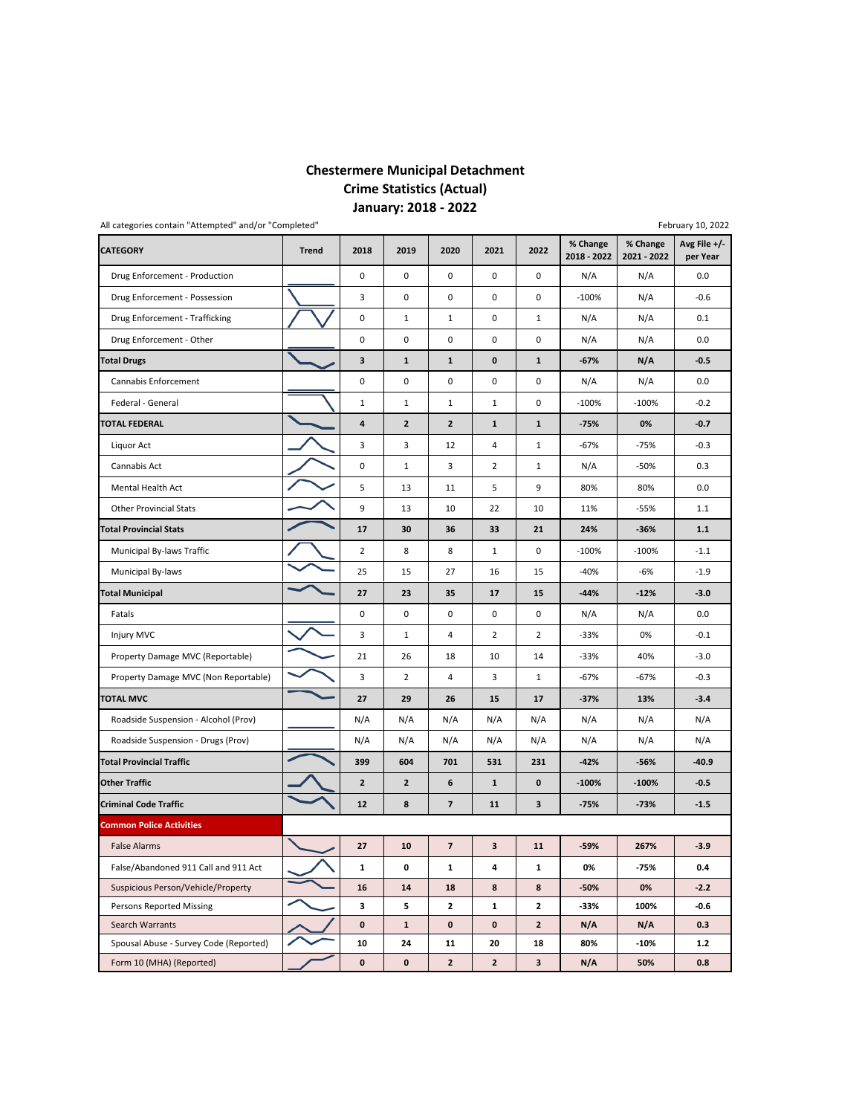# **Chestermere Municipal Detachment Crime Statistics (Actual) January: 2018 ‐ 2022**

|                                        | All categories contain "Attempted" and/or "Completed"<br>February 10, 2022 |                |                         |                         |                |                |                         |                         |                            |  |  |  |  |  |
|----------------------------------------|----------------------------------------------------------------------------|----------------|-------------------------|-------------------------|----------------|----------------|-------------------------|-------------------------|----------------------------|--|--|--|--|--|
| <b>CATEGORY</b>                        | <b>Trend</b>                                                               | 2018           | 2019                    | 2020                    | 2021           | 2022           | % Change<br>2018 - 2022 | % Change<br>2021 - 2022 | Avg File $+/-$<br>per Year |  |  |  |  |  |
| Drug Enforcement - Production          |                                                                            | $\mathbf 0$    | 0                       | $\mathbf 0$             | $\pmb{0}$      | $\mathbf 0$    | N/A                     | N/A                     | 0.0                        |  |  |  |  |  |
| Drug Enforcement - Possession          |                                                                            | 3              | 0                       | 0                       | $\mathbf 0$    | 0              | $-100%$                 | N/A                     | $-0.6$                     |  |  |  |  |  |
| Drug Enforcement - Trafficking         |                                                                            | 0              | $1\,$                   | $\mathbf{1}$            | 0              | $\mathbf{1}$   | N/A                     | N/A                     | 0.1                        |  |  |  |  |  |
| Drug Enforcement - Other               |                                                                            | 0              | 0                       | $\mathbf 0$             | 0              | 0              | N/A                     | N/A                     | 0.0                        |  |  |  |  |  |
| <b>Total Drugs</b>                     |                                                                            | 3              | $\mathbf 1$             | $\mathbf{1}$            | 0              | $\mathbf{1}$   | $-67%$                  | N/A                     | $-0.5$                     |  |  |  |  |  |
| Cannabis Enforcement                   |                                                                            | 0              | 0                       | $\mathbf 0$             | 0              | $\mathbf 0$    | N/A                     | N/A                     | 0.0                        |  |  |  |  |  |
| Federal - General                      |                                                                            | $\mathbf 1$    | $1\,$                   | $\mathbf 1$             | $\mathbf 1$    | 0              | $-100%$                 | $-100%$                 | $-0.2$                     |  |  |  |  |  |
| TOTAL FEDERAL                          |                                                                            | 4              | $\overline{\mathbf{c}}$ | $\overline{2}$          | $\mathbf{1}$   | $\mathbf{1}$   | $-75%$                  | 0%                      | $-0.7$                     |  |  |  |  |  |
| Liquor Act                             |                                                                            | 3              | 3                       | 12                      | 4              | $\mathbf{1}$   | $-67%$                  | $-75%$                  | $-0.3$                     |  |  |  |  |  |
| Cannabis Act                           |                                                                            | 0              | $\mathbf{1}$            | 3                       | $\overline{2}$ | $\mathbf{1}$   | N/A                     | -50%                    | 0.3                        |  |  |  |  |  |
| Mental Health Act                      |                                                                            | 5              | 13                      | 11                      | 5              | 9              | 80%                     | 80%                     | 0.0                        |  |  |  |  |  |
| <b>Other Provincial Stats</b>          |                                                                            | 9              | 13                      | 10                      | 22             | 10             | 11%                     | $-55%$                  | 1.1                        |  |  |  |  |  |
| <b>Total Provincial Stats</b>          |                                                                            | 17             | 30                      | 36                      | 33             | 21             | 24%                     | $-36%$                  | $1.1$                      |  |  |  |  |  |
| Municipal By-laws Traffic              |                                                                            | $\overline{2}$ | 8                       | 8                       | $\mathbf{1}$   | $\mathbf 0$    | $-100%$                 | $-100%$                 | $-1.1$                     |  |  |  |  |  |
| Municipal By-laws                      |                                                                            | 25             | 15                      | 27                      | 16             | 15             | $-40%$                  | $-6%$                   | $-1.9$                     |  |  |  |  |  |
| <b>Total Municipal</b>                 |                                                                            | 27             | 23                      | 35                      | 17             | 15             | $-44%$                  | $-12%$                  | $-3.0$                     |  |  |  |  |  |
| Fatals                                 |                                                                            | 0              | 0                       | $\pmb{0}$               | 0              | 0              | N/A                     | N/A                     | 0.0                        |  |  |  |  |  |
| Injury MVC                             |                                                                            | 3              | $\mathbf{1}$            | $\overline{4}$          | $\overline{2}$ | $\overline{2}$ | $-33%$                  | 0%                      | $-0.1$                     |  |  |  |  |  |
| Property Damage MVC (Reportable)       |                                                                            | 21             | 26                      | 18                      | 10             | 14             | $-33%$                  | 40%                     | $-3.0$                     |  |  |  |  |  |
| Property Damage MVC (Non Reportable)   |                                                                            | 3              | $\overline{2}$          | $\overline{4}$          | 3              | $\mathbf{1}$   | $-67%$                  | $-67%$                  | $-0.3$                     |  |  |  |  |  |
| <b>TOTAL MVC</b>                       |                                                                            | 27             | 29                      | 26                      | 15             | 17             | $-37%$                  | 13%                     | $-3.4$                     |  |  |  |  |  |
| Roadside Suspension - Alcohol (Prov)   |                                                                            | N/A            | N/A                     | N/A                     | N/A            | N/A            | N/A                     | N/A                     | N/A                        |  |  |  |  |  |
| Roadside Suspension - Drugs (Prov)     |                                                                            | N/A            | N/A                     | N/A                     | N/A            | N/A            | N/A                     | N/A                     | N/A                        |  |  |  |  |  |
| <b>Total Provincial Traffic</b>        |                                                                            | 399            | 604                     | 701                     | 531            | 231            | $-42%$                  | $-56%$                  | $-40.9$                    |  |  |  |  |  |
| <b>Other Traffic</b>                   |                                                                            | $\mathbf{2}$   | $\mathbf{2}$            | 6                       | $\mathbf{1}$   | 0              | $-100%$                 | $-100%$                 | $-0.5$                     |  |  |  |  |  |
| <b>Criminal Code Traffic</b>           |                                                                            | 12             | 8                       | $\overline{\mathbf{z}}$ | 11             | 3              | $-75%$                  | $-73%$                  | $-1.5$                     |  |  |  |  |  |
| <b>Common Police Activities</b>        |                                                                            |                |                         |                         |                |                |                         |                         |                            |  |  |  |  |  |
| <b>False Alarms</b>                    |                                                                            | $\mathbf{z}$   | 10                      | $\prime$                | з              | 11             | $-59%$                  | <b>267%</b>             | $-3.9$                     |  |  |  |  |  |
| False/Abandoned 911 Call and 911 Act   |                                                                            | $\mathbf{1}$   | 0                       | $\mathbf{1}$            | 4              | 1              | 0%                      | -75%                    | 0.4                        |  |  |  |  |  |
| Suspicious Person/Vehicle/Property     |                                                                            | 16             | ${\bf 14}$              | 18                      | 8              | 8              | $-50%$                  | 0%                      | $-2.2$                     |  |  |  |  |  |
| Persons Reported Missing               |                                                                            | 3              | 5                       | $\mathbf{2}$            | $\mathbf{1}$   | $\mathbf{2}$   | $-33%$                  | 100%                    | -0.6                       |  |  |  |  |  |
| Search Warrants                        |                                                                            | $\mathbf 0$    | $\mathbf{1}$            | 0                       | 0              | $\mathbf{2}$   | N/A                     | N/A                     | 0.3                        |  |  |  |  |  |
| Spousal Abuse - Survey Code (Reported) |                                                                            | 10             | 24                      | 11                      | 20             | 18             | 80%                     | $-10%$                  | $1.2$                      |  |  |  |  |  |
| Form 10 (MHA) (Reported)               |                                                                            | 0              | $\mathbf 0$             | $\mathbf{2}$            | $\overline{2}$ | 3              | N/A                     | 50%                     | 0.8                        |  |  |  |  |  |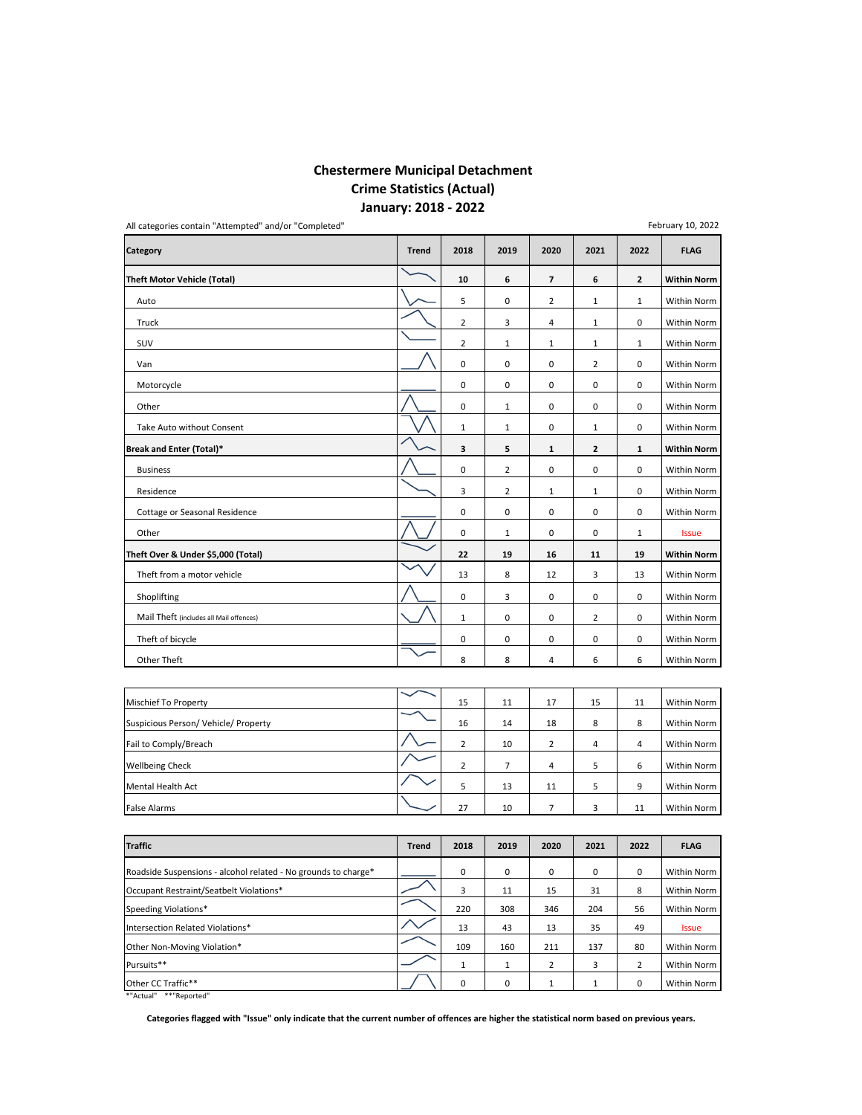# **Chestermere Municipal Detachment Crime Statistics (Actual) January: 2018 ‐ 2022**

| All categories contain "Attempted" and/or "Completed"            |              |                |                |                |                |                | February 10, 2022  |
|------------------------------------------------------------------|--------------|----------------|----------------|----------------|----------------|----------------|--------------------|
| Category                                                         | <b>Trend</b> | 2018           | 2019           | 2020           | 2021           | 2022           | <b>FLAG</b>        |
| <b>Theft Motor Vehicle (Total)</b>                               |              | 10             | 6              | $\overline{7}$ | 6              | $\overline{2}$ | <b>Within Norm</b> |
| Auto                                                             |              | 5              | 0              | $\overline{2}$ | $\mathbf 1$    | $1\,$          | Within Norm        |
| Truck                                                            |              | $\overline{2}$ | 3              | 4              | $\mathbf{1}$   | 0              | Within Norm        |
| SUV                                                              |              | $\overline{2}$ | $\mathbf{1}$   | $\mathbf 1$    | $\mathbf{1}$   | $\mathbf{1}$   | Within Norm        |
| Van                                                              |              | $\pmb{0}$      | 0              | $\pmb{0}$      | $\overline{2}$ | 0              | Within Norm        |
| Motorcycle                                                       |              | $\mathbf 0$    | 0              | 0              | 0              | 0              | Within Norm        |
| Other                                                            |              | $\pmb{0}$      | $\mathbf 1$    | 0              | 0              | 0              | Within Norm        |
| Take Auto without Consent                                        |              | $\mathbf{1}$   | $\mathbf{1}$   | 0              | $\mathbf{1}$   | 0              | Within Norm        |
| Break and Enter (Total)*                                         |              | 3              | 5              | $\mathbf 1$    | 2              | $\mathbf 1$    | <b>Within Norm</b> |
| <b>Business</b>                                                  |              | $\mathsf 0$    | $\overline{2}$ | 0              | 0              | 0              | Within Norm        |
| Residence                                                        |              | 3              | $\overline{2}$ | $\mathbf 1$    | $\mathbf 1$    | 0              | Within Norm        |
| Cottage or Seasonal Residence                                    |              | $\pmb{0}$      | 0              | 0              | 0              | 0              | Within Norm        |
| Other                                                            |              | $\mathsf 0$    | $\mathbf{1}$   | 0              | 0              | 1              | <b>Issue</b>       |
| Theft Over & Under \$5,000 (Total)                               |              | 22             | 19             | 16             | 11             | 19             | <b>Within Norm</b> |
| Theft from a motor vehicle                                       |              | 13             | 8              | 12             | 3              | 13             | Within Norm        |
| Shoplifting                                                      |              | 0              | 3              | 0              | 0              | 0              | Within Norm        |
| Mail Theft (includes all Mail offences)                          |              | $\mathbf 1$    | 0              | 0              | $\overline{2}$ | 0              | Within Norm        |
| Theft of bicycle                                                 |              | 0              | 0              | 0              | 0              | 0              | Within Norm        |
| Other Theft                                                      |              | 8              | 8              | 4              | 6              | 6              | Within Norm        |
|                                                                  |              |                |                |                |                |                |                    |
| Mischief To Property                                             |              | 15             | 11             | 17             | 15             | 11             | Within Norm        |
| Suspicious Person/ Vehicle/ Property                             |              | 16             | 14             | 18             | 8              | 8              | Within Norm        |
| Fail to Comply/Breach                                            |              | $\overline{2}$ | 10             | $\overline{2}$ | 4              | 4              | Within Norm        |
| <b>Wellbeing Check</b>                                           |              | $\overline{2}$ | 7              | $\sqrt{4}$     | 5              | 6              | Within Norm        |
| Mental Health Act                                                |              | 5              | 13             | 11             | 5              | 9              | Within Norm        |
| <b>False Alarms</b>                                              |              | 27             | 10             | $\overline{7}$ | 3              | 11             | Within Norm        |
|                                                                  |              |                |                |                |                |                |                    |
| <b>Traffic</b>                                                   | <b>Trend</b> | 2018           | 2019           | 2020           | 2021           | 2022           | <b>FLAG</b>        |
| Poadcide Sucnancions<br>No grounds to charge*<br>alcohol rolatod |              | $\Omega$       | $\Omega$       | $\Omega$       | $\Omega$       | $\Omega$       | Within Norm        |

| <b>Traffic</b>                                                 | <b>Trend</b> | 2018 | 2019 | 2020           | 2021 | 2022           | <b>FLAG</b>        |
|----------------------------------------------------------------|--------------|------|------|----------------|------|----------------|--------------------|
| Roadside Suspensions - alcohol related - No grounds to charge* |              | 0    | 0    | 0              | 0    | 0              | <b>Within Norm</b> |
| Occupant Restraint/Seatbelt Violations*                        |              | 3    | 11   | 15             | 31   | 8              | Within Norm        |
| Speeding Violations*                                           |              | 220  | 308  | 346            | 204  | 56             | <b>Within Norm</b> |
| Intersection Related Violations*                               |              | 13   | 43   | 13             | 35   | 49             | <b>Issue</b>       |
| Other Non-Moving Violation*                                    |              | 109  | 160  | 211            | 137  | 80             | <b>Within Norm</b> |
| Pursuits**                                                     |              |      |      | $\overline{2}$ | 3    | $\overline{2}$ | <b>Within Norm</b> |
| Other CC Traffic**                                             |              | 0    | 0    |                |      | 0              | Within Norm        |
| *"Actual" **"Reported"                                         |              |      |      |                |      |                |                    |

Categories flagged with "Issue" only indicate that the current number of offences are higher the statistical norm based on previous years.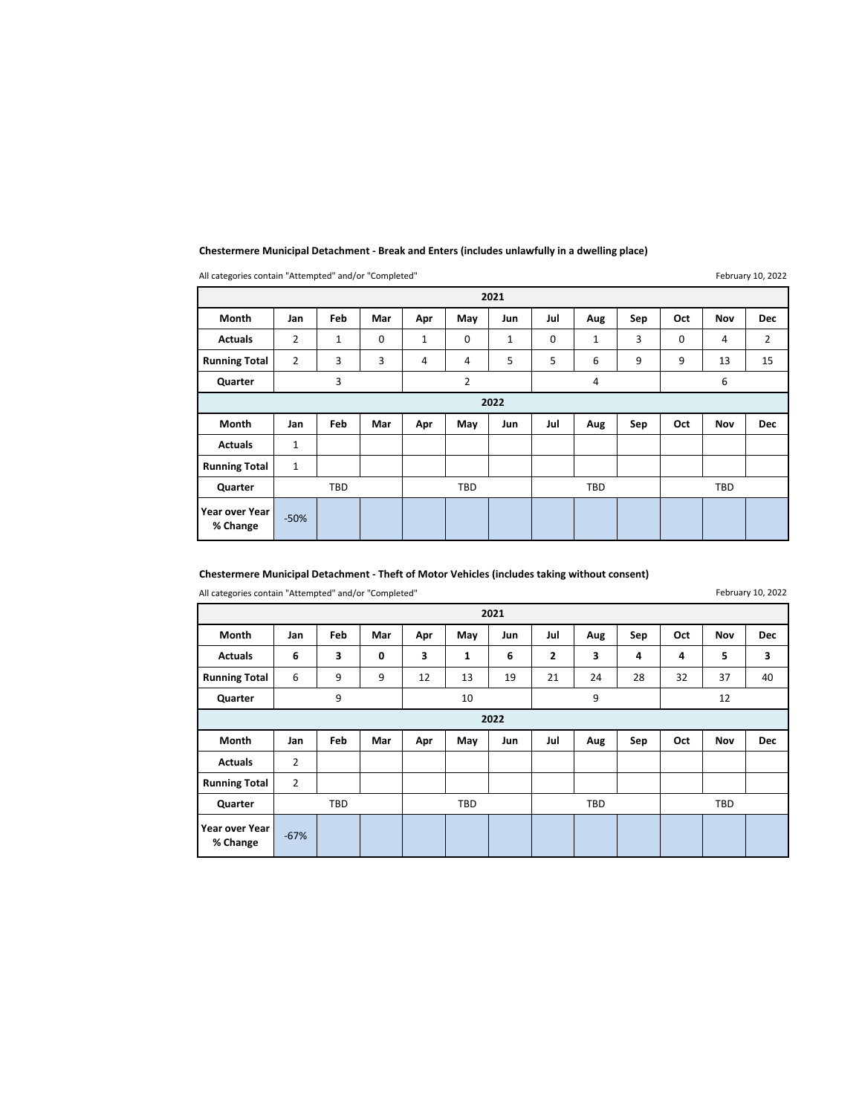|                            | All categories contain Attempted and/or completed<br><b>I CUI UAI Y 10, ZUZZ</b> |              |             |              |                     |              |             |            |     |            |            |                |  |  |
|----------------------------|----------------------------------------------------------------------------------|--------------|-------------|--------------|---------------------|--------------|-------------|------------|-----|------------|------------|----------------|--|--|
|                            | 2021                                                                             |              |             |              |                     |              |             |            |     |            |            |                |  |  |
| Month                      | Jan                                                                              | Feb          | Mar         | Apr          | May                 | Jun          | Jul         | Aug        | Sep | Oct        | <b>Nov</b> | <b>Dec</b>     |  |  |
| <b>Actuals</b>             | 2                                                                                | $\mathbf{1}$ | $\mathbf 0$ | $\mathbf{1}$ | $\mathbf 0$         | $\mathbf{1}$ | $\mathbf 0$ | 1          | 3   | 0          | 4          | $\overline{2}$ |  |  |
| <b>Running Total</b>       | $\overline{2}$                                                                   | 3            | 3           | 4            | 4                   | 5            | 5           | 6          | 9   | 9          | 13         | 15             |  |  |
| Quarter                    |                                                                                  | 3            |             |              | 2<br>$\overline{a}$ |              |             |            |     |            | 6          |                |  |  |
| 2022                       |                                                                                  |              |             |              |                     |              |             |            |     |            |            |                |  |  |
| Month                      | Jan                                                                              | Feb          | Mar         | Apr          | May                 | Jun          | Jul         | Aug        | Sep | Oct        | Nov        | <b>Dec</b>     |  |  |
| <b>Actuals</b>             | 1                                                                                |              |             |              |                     |              |             |            |     |            |            |                |  |  |
| <b>Running Total</b>       | 1                                                                                |              |             |              |                     |              |             |            |     |            |            |                |  |  |
| Quarter                    | <b>TBD</b>                                                                       |              |             | <b>TBD</b>   |                     |              |             | <b>TBD</b> |     | <b>TBD</b> |            |                |  |  |
| Year over Year<br>% Change | $-50%$                                                                           |              |             |              |                     |              |             |            |     |            |            |                |  |  |

## **Chestermere Municipal Detachment ‐ Break and Enters (includes unlawfully in a dwelling place)**

All categories contain "Attempted" and/or "Completed"

February 10, 2022

## **Chestermere Municipal Detachment ‐ Theft of Motor Vehicles (includes taking without consent)**

All categories contain "Attempted" and/or "Completed"

February 10, 2022

|                            | 2021   |            |     |     |            |     |              |            |     |     |                         |            |  |  |
|----------------------------|--------|------------|-----|-----|------------|-----|--------------|------------|-----|-----|-------------------------|------------|--|--|
| <b>Month</b>               | Jan    | Feb        | Mar | Apr | May        | Jun | Jul          | Aug        | Sep | Oct | <b>Nov</b>              | <b>Dec</b> |  |  |
| <b>Actuals</b>             | 6      | 3          | 0   | 3   | 1          | 6   | $\mathbf{2}$ | 3          | 4   | 4   | 5                       | 3          |  |  |
| <b>Running Total</b>       | 6      | 9          | 9   | 12  | 13         | 19  | 21           | 24         | 28  | 32  | 37                      | 40         |  |  |
| Quarter                    |        | 9          |     |     | 10         |     |              | 9          |     |     | 12<br>Oct<br><b>Nov</b> |            |  |  |
| 2022                       |        |            |     |     |            |     |              |            |     |     |                         |            |  |  |
| Month                      | Jan    | Feb        | Mar | Apr | May        | Jun | Jul          | Aug        | Sep |     |                         | <b>Dec</b> |  |  |
| <b>Actuals</b>             | 2      |            |     |     |            |     |              |            |     |     |                         |            |  |  |
| <b>Running Total</b>       | 2      |            |     |     |            |     |              |            |     |     |                         |            |  |  |
| Quarter                    |        | <b>TBD</b> |     |     | <b>TBD</b> |     |              | <b>TBD</b> |     |     | <b>TBD</b>              |            |  |  |
| Year over Year<br>% Change | $-67%$ |            |     |     |            |     |              |            |     |     |                         |            |  |  |